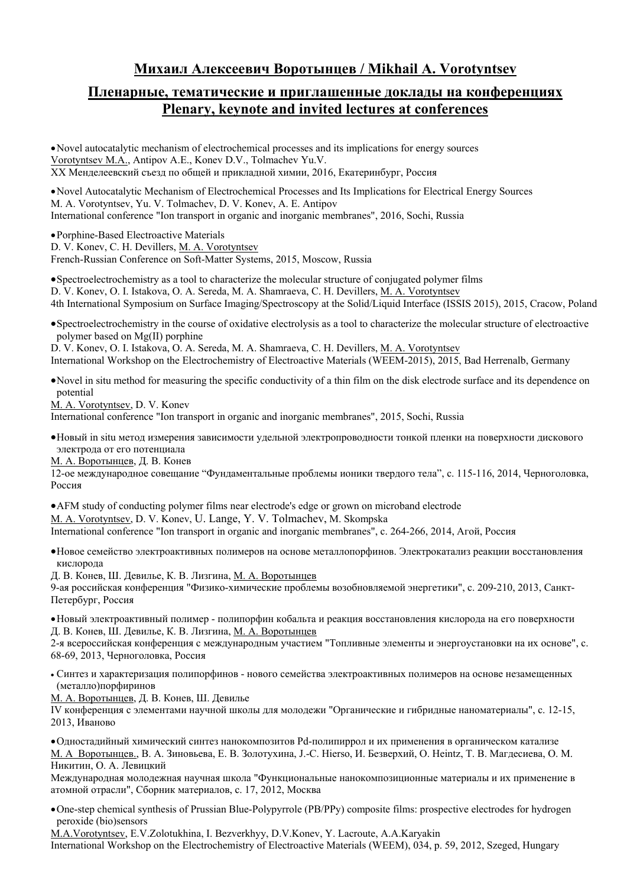## **Михаил Алексеевич Воротынцев / Mikhail A. Vorotyntsev**

### **Пленарные, тематические и приглашенные доклады на конференциях Plenary, keynote and invited lectures at conferences**

Novel autocatalytic mechanism of electrochemical processes and its implications for energy sources Vorotyntsev M.A., Antipov А.Е., Konev D.V., Tolmachev Yu.V. XX Менделеевский съезд по общей и прикладной химии, 2016, Екатеринбург, Россия

Novel Autocatalytic Mechanism of Electrochemical Processes and Its Implications for Electrical Energy Sources M. A. Vorotyntsev, Yu. V. Tolmachev, D. V. Konev, A. E. Antipov International conference "Ion transport in organic and inorganic membranes", 2016, Sochi, Russia

Porphine-Based Electroactive Materials

D. V. Konev, C. H. Devillers, M. A. Vorotyntsev

French-Russian Conference on Soft-Matter Systems, 2015, Moscow, Russia

Spectroelectrochemistry as a tool to characterize the molecular structure of conjugated polymer films D. V. Konev, О. I. Istakova, O. A. Sereda, M. A. Shamraeva, C. H. Devillers, M. A. Vorotyntsev 4th International Symposium on Surface Imaging/Spectroscopy at the Solid/Liquid Interface (ISSIS 2015), 2015, Cracow, Poland

Spectroelectrochemistry in the course of oxidative electrolysis as a tool to characterize the molecular structure of electroactive polymer based on Mg(II) porphine

D. V. Konev, О. I. Istakova, O. A. Sereda, M. A. Shamraeva, C. H. Devillers, M. A. Vorotyntsev International Workshop on the Electrochemistry of Electroactive Materials (WEEM-2015), 2015, Bad Herrenalb, Germany

Novel in situ method for measuring the specific conductivity of a thin film on the disk electrode surface and its dependence on potential

M. A. Vorotyntsev, D. V. Konev

International conference "Ion transport in organic and inorganic membranes", 2015, Sochi, Russia

Новый in situ метод измерения зависимости удельной электропроводности тонкой пленки на поверхности дискового электрода от его потенциала

М. А. Воротынцев, Д. В. Конев

12-ое международное совещание "Фундаментальные проблемы ионики твердого тела", c. 115-116, 2014, Черноголовка, Россия

AFM study of conducting polymer films near electrode's edge or grown on microband electrode M. A. Vorotyntsev, D. V. Konev, U. Lange, Y. V. Tolmachev, M. Skompska

International conference "Ion transport in organic and inorganic membranes", c. 264-266, 2014, Агой, Россия

Новое семейство электроактивных полимеров на основе металлопорфинов. Электрокатализ реакции восстановления кислорода

Д. В. Конев, Ш. Девилье, К. В. Лизгина, М. А. Воротынцев

9-ая российская конференция "Физико-химические проблемы возобновляемой энергетики", c. 209-210, 2013, Санкт-Петербург, Россия

Новый электроактивный полимер - полипорфин кобальта и реакция восстановления кислорода на его поверхности Д. В. Конев, Ш. Девилье, К. В. Лизгина, М. А. Воротынцев

2-я всероссийская конференция с международным участием "Топливные элементы и энергоустановки на их основе", с. 68-69, 2013, Черноголовка, Россия

 Синтез и характеризация полипорфинов - нового семейства электроактивных полимеров на основе незамещенных (металло)порфиринов

М. А. Воротынцев, Д. В. Конев, Ш. Девилье

IV конференция с элементами научной школы для молодежи "Органические и гибридные наноматериалы", c. 12-15, 2013, Иваново

Одностадийный химический синтез нанокомпозитов Pd-полипиррол и их применения в органическом катализе М. А Воротынцев., В. А. Зиновьева, Е. В. Золотухина, J.-C. Hierso, И. Безверхий, O. Heintz, Т. В. Магдесиева, О. М. Никитин, О. А. Левицкий

Международная молодежная научная школа "Функциональные нанокомпозиционные материалы и их применение в атомной отрасли", Сборник материалов, с. 17, 2012, Москва

One-step chemical synthesis of Prussian Blue-Polypyrrole (PB/PPy) composite films: prospective electrodes for hydrogen peroxide (bio)sensors

M.A.Vorotyntsev, E.V.Zolotukhina, I. Bezverkhyy, D.V.Konev, Y. Lacroute, A.A.Karyakin International Workshop on the Electrochemistry of Electroactive Materials (WEEM), 034, p. 59, 2012, Szeged, Hungary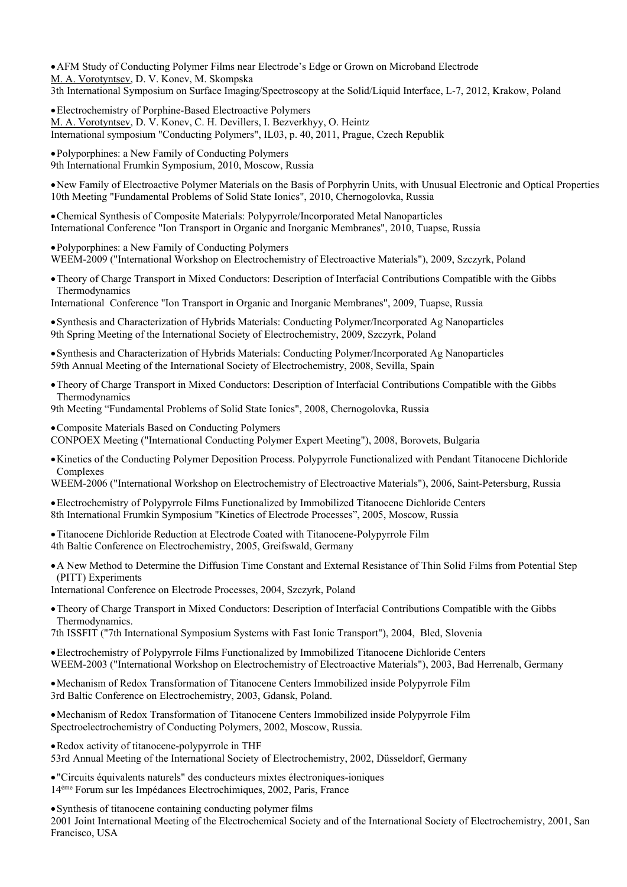AFM Study of Conducting Polymer Films near Electrode's Edge or Grown on Microband Electrode M. A. Vorotyntsev, D. V. Konev, M. Skompska 3th International Symposium on Surface Imaging/Spectroscopy at the Solid/Liquid Interface, L-7, 2012, Krakow, Poland

Electrochemistry of Porphine-Based Electroactive Polymers M. A. Vorotyntsev, D. V. Konev, C. H. Devillers, I. Bezverkhyy, O. Heintz International symposium "Conducting Polymers", IL03, p. 40, 2011, Prague, Czech Republik

Polyporphines: a New Family of Conducting Polymers 9th International Frumkin Symposium, 2010, Moscow, Russia

New Family of Electroactive Polymer Materials on the Basis of Porphyrin Units, with Unusual Electronic and Optical Properties 10th Meeting "Fundamental Problems of Solid State Ionics", 2010, Chernogolovka, Russia

Chemical Synthesis of Composite Materials: Polypyrrole/Incorporated Metal Nanoparticles International Conference "Ion Transport in Organic and Inorganic Membranes", 2010, Tuapse, Russia

Polyporphines: a New Family of Conducting Polymers WEEM-2009 ("International Workshop on Electrochemistry of Electroactive Materials"), 2009, Szczyrk, Poland

Theory of Charge Transport in Mixed Conductors: Description of Interfacial Contributions Compatible with the Gibbs Thermodynamics

International Conference "Ion Transport in Organic and Inorganic Membranes", 2009, Tuapse, Russia

Synthesis and Characterization of Hybrids Materials: Conducting Polymer/Incorporated Ag Nanoparticles 9th Spring Meeting of the International Society of Electrochemistry, 2009, Szczyrk, Poland

Synthesis and Characterization of Hybrids Materials: Conducting Polymer/Incorporated Ag Nanoparticles 59th Annual Meeting of the International Society of Electrochemistry, 2008, Sevilla, Spain

Theory of Charge Transport in Mixed Conductors: Description of Interfacial Contributions Compatible with the Gibbs Thermodynamics

9th Meeting "Fundamental Problems of Solid State Ionics", 2008, Chernogolovka, Russia

Composite Materials Based on Conducting Polymers CONPOEX Meeting ("International Conducting Polymer Expert Meeting"), 2008, Borovets, Bulgaria

Kinetics of the Conducting Polymer Deposition Process. Polypyrrole Functionalized with Pendant Titanocene Dichloride Complexes

WEEM-2006 ("International Workshop on Electrochemistry of Electroactive Materials"), 2006, Saint-Petersburg, Russia

Electrochemistry of Polypyrrole Films Functionalized by Immobilized Titanocene Dichloride Centers 8th International Frumkin Symposium "Kinetics of Electrode Processes", 2005, Moscow, Russia

Titanocene Dichloride Reduction at Electrode Coated with Titanocene-Polypyrrole Film 4th Baltic Conference on Electrochemistry, 2005, Greifswald, Germany

A New Method to Determine the Diffusion Time Constant and External Resistance of Thin Solid Films from Potential Step (PITT) Experiments

International Conference on Electrode Processes, 2004, Szczyrk, Poland

Theory of Charge Transport in Mixed Conductors: Description of Interfacial Contributions Compatible with the Gibbs Thermodynamics.

7th ISSFIT ("7th International Symposium Systems with Fast Ionic Transport"), 2004, Bled, Slovenia

Electrochemistry of Polypyrrole Films Functionalized by Immobilized Titanocene Dichloride Centers WEEM-2003 ("International Workshop on Electrochemistry of Electroactive Materials"), 2003, Bad Herrenalb, Germany

Mechanism of Redox Transformation of Titanocene Centers Immobilized inside Polypyrrole Film 3rd Baltic Conference on Electrochemistry, 2003, Gdansk, Poland.

Mechanism of Redox Transformation of Titanocene Centers Immobilized inside Polypyrrole Film Spectroelectrochemistry of Conducting Polymers, 2002, Moscow, Russia.

Redox activity of titanocene-polypyrrole in THF

53rd Annual Meeting of the International Society of Electrochemistry, 2002, Düsseldorf, Germany

"Circuits équivalents naturels" des conducteurs mixtes électroniques-ioniques 14ème Forum sur les Impédances Electrochimiques, 2002, Paris, France

Synthesis of titanocene containing conducting polymer films

2001 Joint International Meeting of the Electrochemical Society and of the International Society of Electrochemistry, 2001, San Francisco, USA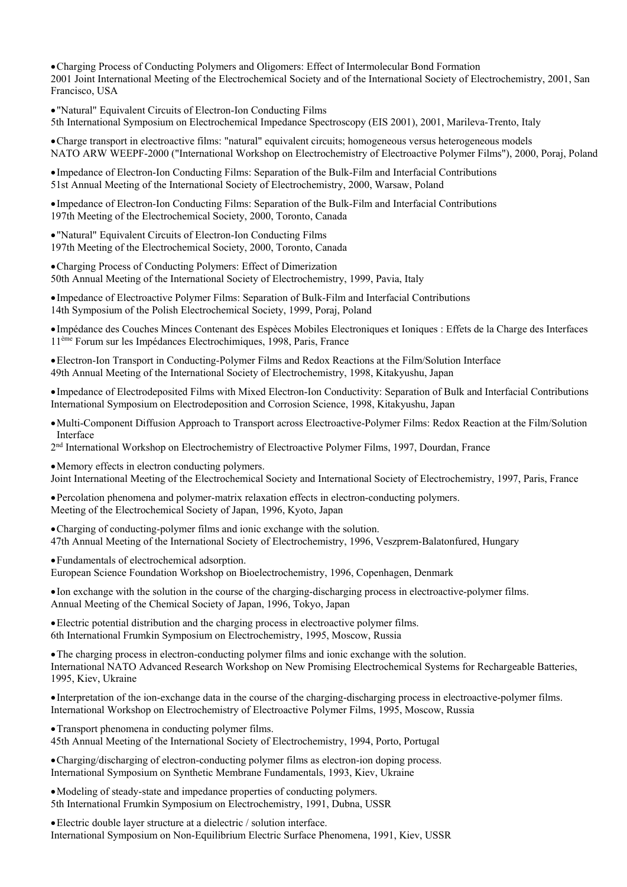Charging Process of Conducting Polymers and Oligomers: Effect of Intermolecular Bond Formation 2001 Joint International Meeting of the Electrochemical Society and of the International Society of Electrochemistry, 2001, San Francisco, USA

"Natural" Equivalent Circuits of Electron-Ion Conducting Films 5th International Symposium on Electrochemical Impedance Spectroscopy (EIS 2001), 2001, Marileva-Trento, Italy

Charge transport in electroactive films: "natural" equivalent circuits; homogeneous versus heterogeneous models NATO ARW WEEPF-2000 ("International Workshop on Electrochemistry of Electroactive Polymer Films"), 2000, Poraj, Poland

Impedance of Electron-Ion Conducting Films: Separation of the Bulk-Film and Interfacial Contributions 51st Annual Meeting of the International Society of Electrochemistry, 2000, Warsaw, Poland

Impedance of Electron-Ion Conducting Films: Separation of the Bulk-Film and Interfacial Contributions 197th Meeting of the Electrochemical Society, 2000, Toronto, Canada

"Natural" Equivalent Circuits of Electron-Ion Conducting Films 197th Meeting of the Electrochemical Society, 2000, Toronto, Canada

Charging Process of Conducting Polymers: Effect of Dimerization 50th Annual Meeting of the International Society of Electrochemistry, 1999, Pavia, Italy

Impedance of Electroactive Polymer Films: Separation of Bulk-Film and Interfacial Contributions 14th Symposium of the Polish Electrochemical Society, 1999, Poraj, Poland

Impédance des Couches Minces Contenant des Espèces Mobiles Electroniques et Ioniques : Effets de la Charge des Interfaces 11ème Forum sur les Impédances Electrochimiques, 1998, Paris, France

Electron-Ion Transport in Conducting-Polymer Films and Redox Reactions at the Film/Solution Interface 49th Annual Meeting of the International Society of Electrochemistry, 1998, Kitakyushu, Japan

Impedance of Electrodeposited Films with Mixed Electron-Ion Conductivity: Separation of Bulk and Interfacial Contributions International Symposium on Electrodeposition and Corrosion Science, 1998, Kitakyushu, Japan

Multi-Component Diffusion Approach to Transport across Electroactive-Polymer Films: Redox Reaction at the Film/Solution Interface

2nd International Workshop on Electrochemistry of Electroactive Polymer Films, 1997, Dourdan, France

Memory effects in electron conducting polymers. Joint International Meeting of the Electrochemical Society and International Society of Electrochemistry, 1997, Paris, France

Percolation phenomena and polymer-matrix relaxation effects in electron-conducting polymers. Meeting of the Electrochemical Society of Japan, 1996, Kyoto, Japan

Charging of conducting-polymer films and ionic exchange with the solution. 47th Annual Meeting of the International Society of Electrochemistry, 1996, Veszprem-Balatonfured, Hungary

Fundamentals of electrochemical adsorption. European Science Foundation Workshop on Bioelectrochemistry, 1996, Copenhagen, Denmark

Ion exchange with the solution in the course of the charging-discharging process in electroactive-polymer films. Annual Meeting of the Chemical Society of Japan, 1996, Tokyo, Japan

Electric potential distribution and the charging process in electroactive polymer films. 6th International Frumkin Symposium on Electrochemistry, 1995, Moscow, Russia

The charging process in electron-conducting polymer films and ionic exchange with the solution. International NATO Advanced Research Workshop on New Promising Electrochemical Systems for Rechargeable Batteries, 1995, Kiev, Ukraine

Interpretation of the ion-exchange data in the course of the charging-discharging process in electroactive-polymer films. International Workshop on Electrochemistry of Electroactive Polymer Films, 1995, Moscow, Russia

Transport phenomena in conducting polymer films. 45th Annual Meeting of the International Society of Electrochemistry, 1994, Porto, Portugal

Charging/discharging of electron-conducting polymer films as electron-ion doping process. International Symposium on Synthetic Membrane Fundamentals, 1993, Kiev, Ukraine

Modeling of steady-state and impedance properties of conducting polymers. 5th International Frumkin Symposium on Electrochemistry, 1991, Dubna, USSR

Electric double layer structure at a dielectric / solution interface. International Symposium on Non-Equilibrium Electric Surface Phenomena, 1991, Kiev, USSR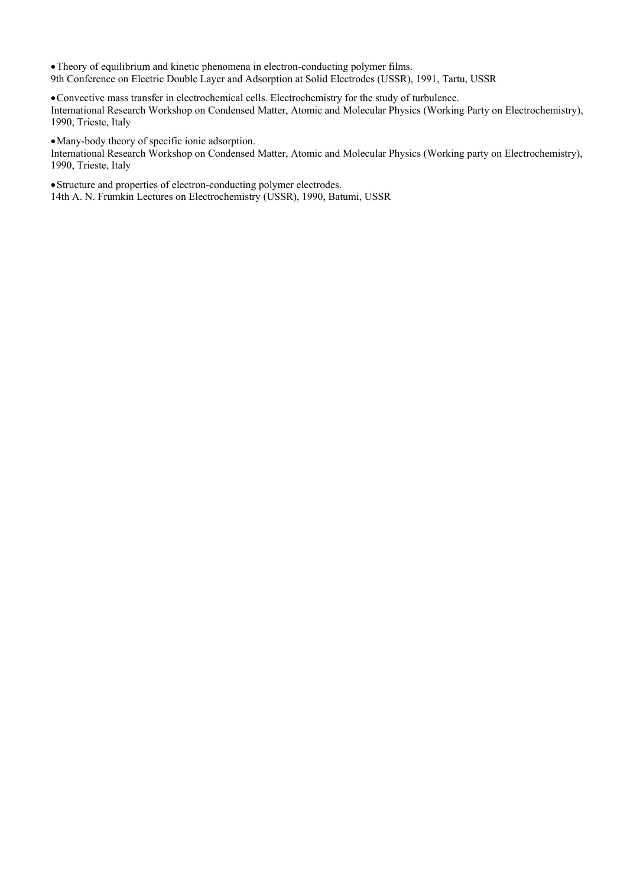Theory of equilibrium and kinetic phenomena in electron-conducting polymer films. 9th Conference on Electric Double Layer and Adsorption at Solid Electrodes (USSR), 1991, Tartu, USSR

Convective mass transfer in electrochemical cells. Electrochemistry for the study of turbulence. International Research Workshop on Condensed Matter, Atomic and Molecular Physics (Working Party on Electrochemistry), 1990, Trieste, Italy

Many-body theory of specific ionic adsorption.

International Research Workshop on Condensed Matter, Atomic and Molecular Physics (Working party on Electrochemistry), 1990, Trieste, Italy

Structure and properties of electron-conducting polymer electrodes. 14th A. N. Frumkin Lectures on Electrochemistry (USSR), 1990, Batumi, USSR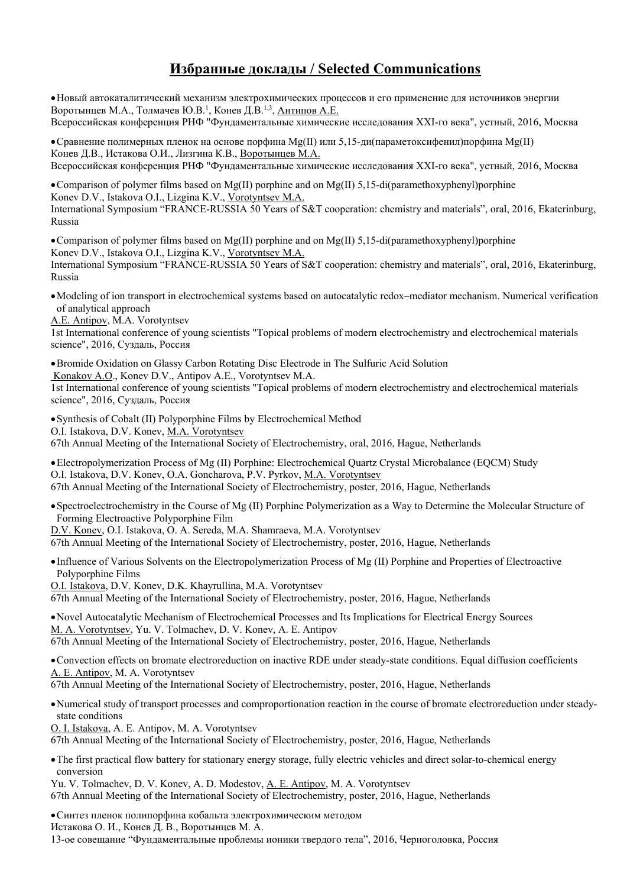# **Избранные доклады / Selected Communications**

Новый автокаталитический механизм электрохимических процессов и его применение для источников энергии Воротынцев М.А., Толмачев Ю.В.<sup>1</sup>, Конев Д.В.<sup>1,3</sup>, Антипов А.Е. Всероссийская конференция РНФ "Фундаментальные химические исследования XXI-го века", устный, 2016, Москва

Сравнение полимерных пленок на основе порфина Mg(II) или 5,15-ди(параметоксифенил)порфина Mg(II) Конев Д.В., Истакова О.И., Лизгина К.В., Воротынцев М.А. Всероссийская конференция РНФ "Фундаментальные химические исследования XXI-го века", устный, 2016, Москва

Comparison of polymer films based on Mg(II) porphine and on Mg(II) 5,15-di(paramethoxyphenyl)porphine Konev D.V., Istakova O.I., Lizgina K.V., Vorotyntsev M.A. International Symposium "FRANCE-RUSSIA 50 Years of S&T cooperation: chemistry and materials", oral, 2016, Ekaterinburg, Russia

• Comparison of polymer films based on Mg(II) porphine and on Mg(II) 5,15-di(paramethoxyphenyl)porphine Konev D.V., Istakova O.I., Lizgina K.V., Vorotyntsev M.A. International Symposium "FRANCE-RUSSIA 50 Years of S&T cooperation: chemistry and materials", oral, 2016, Ekaterinburg, Russia

- Modeling of ion transport in electrochemical systems based on autocatalytic redox–mediator mechanism. Numerical verification of analytical approach
- A.E. Antipov, M.A. Vorotyntsev

1st International conference of young scientists "Topical problems of modern electrochemistry and electrochemical materials science", 2016, Суздаль, Россия

Bromide Oxidation on Glassy Carbon Rotating Disc Electrode in The Sulfuric Acid Solution Konakov A.O., Konev D.V., Antipov A.E., Vorotyntsev M.A. 1st International conference of young scientists "Topical problems of modern electrochemistry and electrochemical materials science", 2016, Суздаль, Россия

Synthesis of Cobalt (II) Polyporphine Films by Electrochemical Method O.I. Istakova, D.V. Konev, M.A. Vorotyntsev

67th Annual Meeting of the International Society of Electrochemistry, oral, 2016, Hague, Netherlands

Electropolymerization Process of Mg (II) Porphine: Electrochemical Quartz Crystal Microbalance (EQCM) Study O.I. Istakova, D.V. Konev, O.A. Goncharova, P.V. Pyrkov, M.A. Vorotyntsev 67th Annual Meeting of the International Society of Electrochemistry, poster, 2016, Hague, Netherlands

Spectroelectrochemistry in the Course of Mg (II) Porphine Polymerization as a Way to Determine the Molecular Structure of Forming Electroactive Polyporphine Film

D.V. Konev, O.I. Istakova, O. A. Sereda, M.A. Shamraeva, M.A. Vorotyntsev 67th Annual Meeting of the International Society of Electrochemistry, poster, 2016, Hague, Netherlands

Influence of Various Solvents on the Electropolymerization Process of Mg (II) Porphine and Properties of Electroactive Polyporphine Films

O.I. Istakova, D.V. Konev, D.K. Khayrullina, M.A. Vorotyntsev

67th Annual Meeting of the International Society of Electrochemistry, poster, 2016, Hague, Netherlands

Novel Autocatalytic Mechanism of Electrochemical Processes and Its Implications for Electrical Energy Sources M. A. Vorotyntsev, Yu. V. Tolmachev, D. V. Konev, A. E. Antipov 67th Annual Meeting of the International Society of Electrochemistry, poster, 2016, Hague, Netherlands

Convection effects on bromate electroreduction on inactive RDE under steady-state conditions. Equal diffusion coefficients A. E. Antipov, M. A. Vorotyntsev

67th Annual Meeting of the International Society of Electrochemistry, poster, 2016, Hague, Netherlands

Numerical study of transport processes and comproportionation reaction in the course of bromate electroreduction under steadystate conditions

O. I. Istakova, A. E. Antipov, M. A. Vorotyntsev

67th Annual Meeting of the International Society of Electrochemistry, poster, 2016, Hague, Netherlands

The first practical flow battery for stationary energy storage, fully electric vehicles and direct solar-to-chemical energy conversion

Yu. V. Tolmachev, D. V. Konev, A. D. Modestov, A. E. Antipov, M. A. Vorotyntsev 67th Annual Meeting of the International Society of Electrochemistry, poster, 2016, Hague, Netherlands

Синтез пленок полипорфина кобальта электрохимическим методом

Истакова О. И., Конев Д. В., Воротынцев М. А.

13-ое совещание "Фундаментальные проблемы ионики твердого тела", 2016, Черноголовка, Россия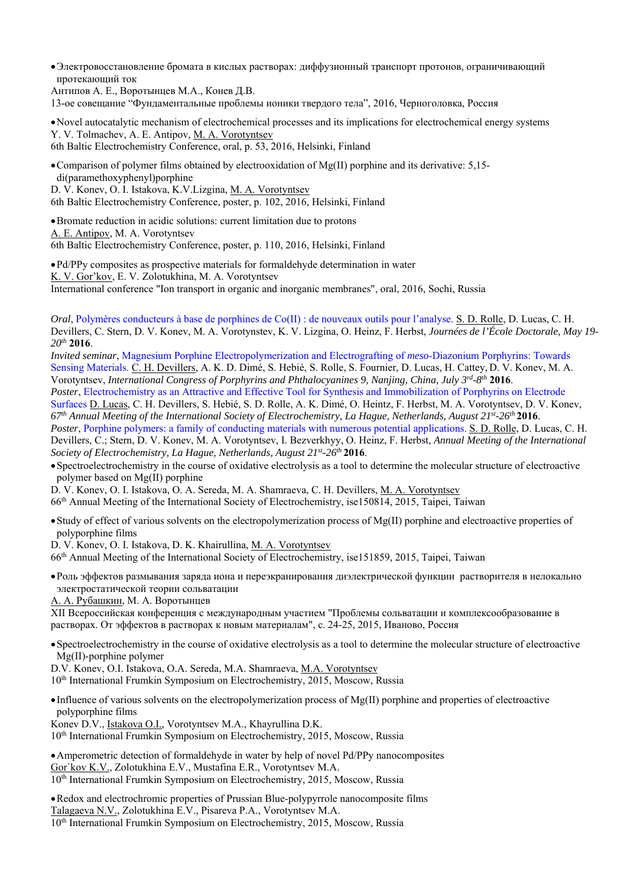Электровосстановление бромата в кислых растворах: диффузионный транспорт протонов, ограничивающий протекающий ток

Антипов А. Е., Воротынцев М.А., Конев Д.В.

13-ое совещание "Фундаментальные проблемы ионики твердого тела", 2016, Черноголовка, Россия

Novel autocatalytic mechanism of electrochemical processes and its implications for electrochemical energy systems Y. V. Tolmachev, A. E. Antipov, M. A. Vorotyntsev

6th Baltic Electrochemistry Conference, oral, p. 53, 2016, Helsinki, Finland

Comparison of polymer films obtained by electrooxidation of Mg(II) porphine and its derivative: 5,15 di(paramethoxyphenyl)porphine

D. V. Konev, O. I. Istakova, K.V.Lizgina, M. A. Vorotyntsev

6th Baltic Electrochemistry Conference, poster, p. 102, 2016, Helsinki, Finland

Bromate reduction in acidic solutions: current limitation due to protons A. E. Antipov, M. A. Vorotyntsev

6th Baltic Electrochemistry Conference, poster, p. 110, 2016, Helsinki, Finland

Pd/PPy composites as prospective materials for formaldehyde determination in water K. V. Gor'kov, E. V. Zolotukhina, M. A. Vorotyntsev International conference "Ion transport in organic and inorganic membranes", oral, 2016, Sochi, Russia

*Oral*, Polymères conducteurs à base de porphines de Co(II) : de nouveaux outils pour l'analyse. S. D. Rolle, D. Lucas, C. H. Devillers, C. Stern, D. V. Konev, М. А. Vorotynstev, K. V. Lizgina, O. Heinz, F. Herbst, *Journées de l'École Doctorale, May 19- 20th* **2016**.

*Invited seminar*, Magnesium Porphine Electropolymerization and Electrografting of *meso*-Diazonium Porphyrins: Towards Sensing Materials. C. H. Devillers, A. K. D. Dimé, S. Hebié, S. Rolle, S. Fournier, D. Lucas, H. Cattey, D. V. Konev, M. A. Vorotyntsev, *International Congress of Porphyrins and Phthalocyanines 9, Nanjing, China, July 3rd-8th* **2016**.

*Poster*, Electrochemistry as an Attractive and Effective Tool for Synthesis and Immobilization of Porphyrins on Electrode Surfaces D. Lucas, C. H. Devillers, S. Hebié, S. D. Rolle, A. K. Dimé, O. Heintz, F. Herbst, M. A. Vorotyntsev, D. V. Konev, *67th Annual Meeting of the International Society of Electrochemistry, La Hague, Netherlands, August 21st-26th* **2016**.

*Poster*, Porphine polymers: a family of conducting materials with numerous potential applications. S. D. Rolle, D. Lucas, C. H. Devillers, C.; Stern, D. V. Konev, М. А. Vorotyntsev, I. Bezverkhyy, O. Heinz, F. Herbst, *Annual Meeting of the International Society of Electrochemistry, La Hague, Netherlands, August 21st-26th* **2016**.

Spectroelectrochemistry in the course of oxidative electrolysis as a tool to determine the molecular structure of electroactive polymer based on Mg(II) porphine

D. V. Konev, О. I. Istakova, O. A. Sereda, M. A. Shamraeva, C. H. Devillers, M. A. Vorotyntsev

66th Annual Meeting of the International Society of Electrochemistry, ise150814, 2015, Taipei, Taiwan

• Study of effect of various solvents on the electropolymerization process of  $Mg(II)$  porphine and electroactive properties of polyporphine films

D. V. Konev, О. I. Istakova, D. K. Khairullina, M. A. Vorotyntsev

66th Annual Meeting of the International Society of Electrochemistry, ise151859, 2015, Taipei, Taiwan

Роль эффектов размывания заряда иона и переэкранирования диэлектрической функции растворителя в нелокально электростатической теории сольватации

А. А. Рубашкин, М. А. Воротынцев

ХII Всероссийская конференция с международным участием "Проблемы сольватации и комплексообразование в растворах. От эффектов в растворах к новым материалам", с. 24-25, 2015, Иваново, Россия

Spectroelectrochemistry in the course of oxidative electrolysis as a tool to determine the molecular structure of electroactive Mg(II)-porphine polymer

D.V. Konev, O.I. Istakova, O.A. Sereda, M.A. Shamraeva, M.A. Vorotyntsev

10<sup>th</sup> International Frumkin Symposium on Electrochemistry, 2015, Moscow, Russia

 $\bullet$  Influence of various solvents on the electropolymerization process of Mg(II) porphine and properties of electroactive polyporphine films

Konev D.V., Istakova O.I., Vorotyntsev M.A., Khayrullina D.K.

10th International Frumkin Symposium on Electrochemistry, 2015, Moscow, Russia

Amperometric detection of formaldehyde in water by help of novel Pd/PPy nanocomposites Gor`kov K.V., Zolotukhina E.V., Mustafina E.R., Vorotyntsev M.A.  $10<sup>th</sup>$  International Frumkin Symposium on Electrochemistry, 2015, Moscow, Russia

Redox and electrochromic properties of Prussian Blue-polypyrrole nanocomposite films Talagaeva N.V., Zolotukhina E.V., Pisareva P.A., Vorotyntsev M.A. 10th International Frumkin Symposium on Electrochemistry, 2015, Moscow, Russia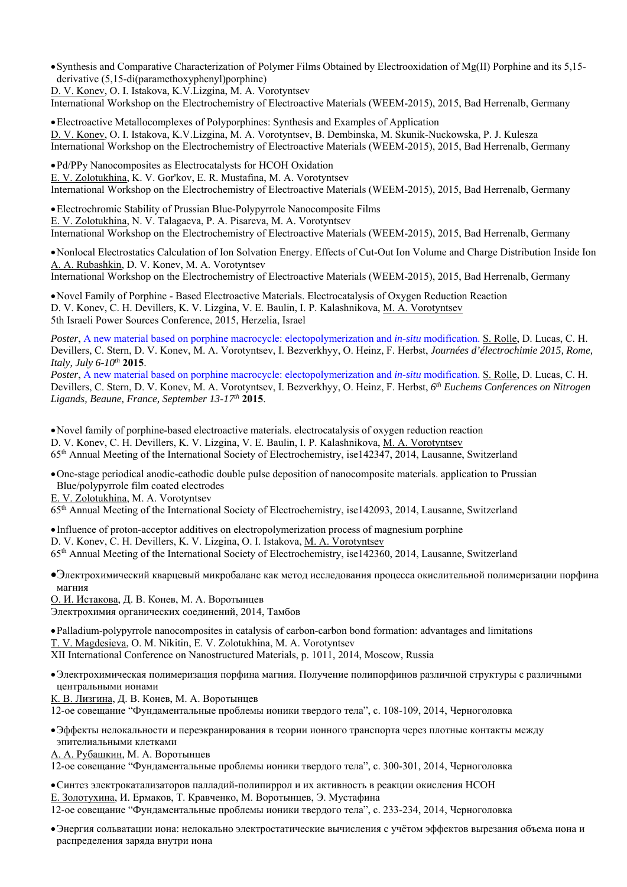Synthesis and Comparative Characterization of Polymer Films Obtained by Electrooxidation of Mg(II) Porphine and its 5,15 derivative (5,15-di(paramethoxyphenyl)porphine)

D. V. Konev, O. I. Istakova, K.V.Lizgina, M. A. Vorotyntsev

International Workshop on the Electrochemistry of Electroactive Materials (WEEM-2015), 2015, Bad Herrenalb, Germany

Electroactive Metallocomplexes of Polyporphines: Synthesis and Examples of Application D. V. Konev, O. I. Istakova, K.V.Lizgina, M. A. Vorotyntsev, B. Dembinska, M. Skunik-Nuckowska, P. J. Kulesza International Workshop on the Electrochemistry of Electroactive Materials (WEEM-2015), 2015, Bad Herrenalb, Germany

Pd/PPy Nanocomposites as Electrocatalysts for HCOH Oxidation E. V. Zolotukhina, K. V. Gor'kov, E. R. Mustafina, M. A. Vorotyntsev International Workshop on the Electrochemistry of Electroactive Materials (WEEM-2015), 2015, Bad Herrenalb, Germany

Electrochromic Stability of Prussian Blue-Polypyrrole Nanocomposite Films E. V. Zolotukhina, N. V. Talagaeva, P. A. Pisareva, M. A. Vorotyntsev International Workshop on the Electrochemistry of Electroactive Materials (WEEM-2015), 2015, Bad Herrenalb, Germany

Nonlocal Electrostatics Calculation of Ion Solvation Energy. Effects of Cut-Out Ion Volume and Charge Distribution Inside Ion A. A. Rubashkin, D. V. Konev, M. A. Vorotyntsev

International Workshop on the Electrochemistry of Electroactive Materials (WEEM-2015), 2015, Bad Herrenalb, Germany

Novel Family of Porphine - Based Electroactive Materials. Electrocatalysis of Oxygen Reduction Reaction D. V. Konev, C. H. Devillers, K. V. Lizgina, V. Е. Baulin, I. P. Kalashnikova, M. A. Vorotyntsev 5th Israeli Power Sources Conference, 2015, Herzelia, Israel

*Poster*, A new material based on porphine macrocycle: electopolymerization and *in-situ* modification. S. Rolle, D. Lucas, C. H. Devillers, C. Stern, D. V. Konev, М. А. Vorotyntsev, I. Bezverkhyy, O. Heinz, F. Herbst, *Journées d'électrochimie 2015, Rome, Italy, July 6-10th* **2015**.

*Poster*, A new material based on porphine macrocycle: electopolymerization and *in-situ* modification. S. Rolle, D. Lucas, C. H. Devillers, C. Stern, D. V. Konev, М. А. Vorotyntsev, I. Bezverkhyy, O. Heinz, F. Herbst, *6th Euchems Conferences on Nitrogen Ligands, Beaune, France, September 13*-*17th* **2015**.

Novel family of porphine-based electroactive materials. electrocatalysis of oxygen reduction reaction D. V. Konev, C. H. Devillers, K. V. Lizgina, V. Е. Baulin, I. P. Kalashnikova, M. A. Vorotyntsev 65th Annual Meeting of the International Society of Electrochemistry, ise142347, 2014, Lausanne, Switzerland

One-stage periodical anodic-cathodic double pulse deposition of nanocomposite materials. application to Prussian Blue/polypyrrole film coated electrodes

E. V. Zolotukhina, M. A. Vorotyntsev

65th Annual Meeting of the International Society of Electrochemistry, ise142093, 2014, Lausanne, Switzerland

Influence of proton-acceptor additives on electropolymerization process of magnesium porphine D. V. Konev, C. H. Devillers, K. V. Lizgina, О. I. Istakova, M. A. Vorotyntsev 65th Annual Meeting of the International Society of Electrochemistry, ise142360, 2014, Lausanne, Switzerland

Электрохимический кварцевый микробаланс как метод исследования процесса окислительной полимеризации порфина магния

О. И. Истакова, Д. В. Конев, М. А. Воротынцев Электрохимия органических соединений, 2014, Тамбов

Palladium-polypyrrole nanocomposites in catalysis of carbon-carbon bond formation: advantages and limitations T. V. Magdesieva, O. M. Nikitin, E. V. Zolotukhina, M. A. Vorotyntsev XII International Conference on Nanostructured Materials, p. 1011, 2014, Moscow, Russia

Электрохимическая полимеризация порфина магния. Получение полипорфинов различной структуры с различными центральными ионами

К. В. Лизгина, Д. В. Конев, М. А. Воротынцев

12-ое совещание "Фундаментальные проблемы ионики твердого тела", c. 108-109, 2014, Черноголовка

Эффекты нелокальности и переэкранирования в теории ионного транспорта через плотные контакты между эпителиальными клетками

A. A. Рубашкин, M. A. Воротынцев

12-ое совещание "Фундаментальные проблемы ионики твердого тела", c. 300-301, 2014, Черноголовка

Синтез электрокатализаторов палладий-полипиррол и их активность в реакции окисления HCOH

Е. Золотухина, И. Ермаков, Т. Кравченко, М. Воротынцев, Э. Мустафина

12-ое совещание "Фундаментальные проблемы ионики твердого тела", c. 233-234, 2014, Черноголовка

Энергия сольватации иона: нелокально электростатические вычисления с учётом эффектов вырезания объема иона и распределения заряда внутри иона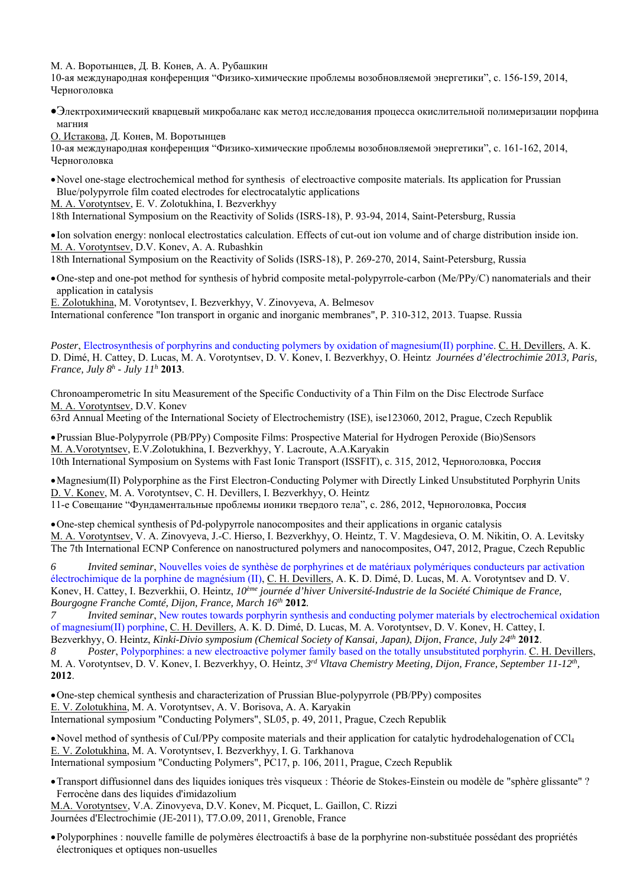М. А. Воротынцев, Д. В. Конев, A. A. Рубашкин

10-ая международная конференция "Физико-химические проблемы возобновляемой энергетики", c. 156-159, 2014, Черноголовка

- Электрохимический кварцевый микробаланс как метод исследования процесса окислительной полимеризации порфина магния
- О. Истакова, Д. Конев, М. Воротынцев

10-ая международная конференция "Физико-химические проблемы возобновляемой энергетики", c. 161-162, 2014, Черноголовка

Novel one-stage electrochemical method for synthesis of electroactive composite materials. Its application for Prussian Blue/polypyrrole film coated electrodes for electrocatalytic applications

M. A. Vorotyntsev, E. V. Zolotukhina, I. Bezverkhyy

18th International Symposium on the Reactivity of Solids (ISRS-18), Р. 93-94, 2014, Saint-Petersburg, Russia

Ion solvation energy: nonlocal electrostatics calculation. Effects of cut-out ion volume and of charge distribution inside ion. M. A. Vorotyntsev, D.V. Konev, A. A. Rubashkin

18th International Symposium on the Reactivity of Solids (ISRS-18), Р. 269-270, 2014, Saint-Petersburg, Russia

One-step and one-pot method for synthesis of hybrid composite metal-polypyrrole-carbon (Me/PPy/C) nanomaterials and their application in catalysis

E. Zolotukhina, M. Vorotyntsev, I. Bezverkhyy, V. Zinovyeva, A. Belmesov International conference "Ion transport in organic and inorganic membranes", P. 310-312, 2013. Tuapse. Russia

*Poster*, Electrosynthesis of porphyrins and conducting polymers by oxidation of magnesium(II) porphine. C. H. Devillers, A. K. D. Dimé, H. Cattey, D. Lucas, M. A. Vorotyntsev, D. V. Konev, I. Bezverkhyy, O. Heintz *Journées d'électrochimie 2013, Paris, France, July 8h - July 11h* **2013**.

Chronoamperometric In situ Measurement of the Specific Conductivity of a Thin Film on the Disc Electrode Surface M. A. Vorotyntsev, D.V. Konev

63rd Annual Meeting of the International Society of Electrochemistry (ISE), ise123060, 2012, Prague, Czech Republik

Prussian Blue-Polypyrrole (PB/PPy) Composite Films: Prospective Material for Hydrogen Peroxide (Bio)Sensors M. A.Vorotyntsev, E.V.Zolotukhina, I. Bezverkhyy, Y. Lacroute, A.A.Karyakin 10th International Symposium on Systems with Fast Ionic Transport (ISSFIT), с. 315, 2012, Черноголовка, Россия

Magnesium(II) Polyporphine as the First Electron-Conducting Polymer with Directly Linked Unsubstituted Porphyrin Units D. V. Konev, M. A. Vorotyntsev, C. H. Devillers, I. Bezverkhyy, O. Heintz

11-е Совещание "Фундаментальные проблемы ионики твердого тела", с. 286, 2012, Черноголовка, Россия

One-step chemical synthesis of Pd-polypyrrole nanocomposites and their applications in organic catalysis M. A. Vorotyntsev, V. A. Zinovyeva, J.-C. Hierso, I. Bezverkhyy, O. Heintz, T. V. Magdesieva, O. M. Nikitin, O. A. Levitsky The 7th International ECNP Conference on nanostructured polymers and nanocomposites, O47, 2012, Prague, Czech Republic

*6 Invited seminar*, Nouvelles voies de synthèse de porphyrines et de matériaux polymériques conducteurs par activation électrochimique de la porphine de magnésium (II), C. H. Devillers, A. K. D. Dimé, D. Lucas, M. A. Vorotyntsev and D. V. Konev, H. Cattey, I. Bezverkhii, O. Heintz, *10ème journée d'hiver Université-Industrie de la Société Chimique de France, Bourgogne Franche Comté, Dijon, France, March 16th* **2012***.* 

*Invited seminar*, New routes towards porphyrin synthesis and conducting polymer materials by electrochemical oxidation of magnesium(II) porphine, C. H. Devillers, A. K. D. Dimé, D. Lucas, M. A. Vorotyntsev, D. V. Konev, H. Cattey, I. Bezverkhyy, O. Heintz, *Kinki-Divio symposium (Chemical Society of Kansai, Japan)*, *Dijon*, *France*, *July 24th* **2012**. *8 Poster*, Polyporphines: a new electroactive polymer family based on the totally unsubstituted porphyrin. C. H. Devillers,

M. A. Vorotyntsev, D. V. Konev, I. Bezverkhyy, O. Heintz, *3rd Vltava Chemistry Meeting, Dijon, France, September 11-12th,*  **2012**.

One-step chemical synthesis and characterization of Рrussian Вlue-polypyrrole (PB/PPy) composites E. V. Zolotukhina, M. A. Vorotyntsev, A. V. Borisova, A. A. Karyakin International symposium "Conducting Polymers", SL05, p. 49, 2011, Prague, Czech Republik

• Novel method of synthesis of CuI/PPy composite materials and their application for catalytic hydrodehalogenation of CCl<sub>4</sub> E. V. Zolotukhina, M. A. Vorotyntsev, I. Bezverkhyy, I. G. Tarkhanova International symposium "Conducting Polymers", PC17, p. 106, 2011, Prague, Czech Republik

Transport diffusionnel dans des liquides ioniques très visqueux : Théorie de Stokes-Einstein ou modèle de "sphère glissante" ? Ferrocène dans des liquides d'imidazolium

M.A. Vorotyntsev, V.A. Zinovyeva, D.V. Konev, M. Picquet, L. Gaillon, C. Rizzi Journées d'Electrochimie (JE-2011), T7.O.09, 2011, Grenoble, France

Polyporphines : nouvelle famille de polymères électroactifs à base de la porphyrine non-substituée possédant des propriétés électroniques et optiques non-usuelles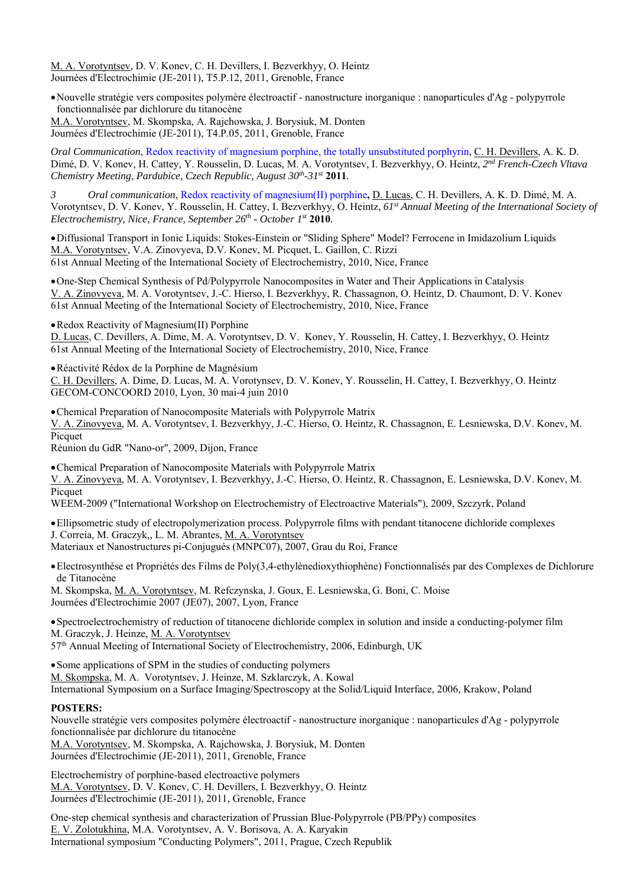M. A. Vorotyntsev, D. V. Konev, C. H. Devillers, I. Bezverkhyy, O. Heintz Journées d'Electrochimie (JE-2011), T5.P.12, 2011, Grenoble, France

Nouvelle stratégie vers composites polymère électroactif - nanostructure inorganique : nanoparticules d'Ag - polypyrrole fonctionnalisée par dichlorure du titanocène

M.A. Vorotyntsev, M. Skompska, A. Rajchowska, J. Borysiuk, M. Donten Journées d'Electrochimie (JE-2011), T4.P.05, 2011, Grenoble, France

*Oral Communication*, Redox reactivity of magnesium porphine, the totally unsubstituted porphyrin, C. H. Devillers, A. K. D. Dimé, D. V. Konev, H. Cattey, Y. Rousselin, D. Lucas, M. A. Vorotyntsev, I. Bezverkhyy, O. Heintz, *2nd French-Czech Vltava Chemistry Meeting, Pardubice, Czech Republic, August 30<sup>th</sup>-31<sup>st</sup> 2011.* 

*3 Oral communication*, Redox reactivity of magnesium(II) porphine**,** D. Lucas, C. H. Devillers, A. K. D. Dimé, M. A. Vorotyntsev, D. V. Konev, Y. Rousselin, H. Cattey, I. Bezverkhyy, O. Heintz, *61st Annual Meeting of the International Society of Electrochemistry, Nice, France, September 26th - October 1st* **2010***.*

Diffusional Transport in Ionic Liquids: Stokes-Einstein or "Sliding Sphere" Model? Ferrocene in Imidazolium Liquids M.A. Vorotyntsev, V.A. Zinovyeva, D.V. Konev, M. Picquet, L. Gaillon, C. Rizzi 61st Annual Meeting of the International Society of Electrochemistry, 2010, Nice, France

One-Step Chemical Synthesis of Pd/Polypyrrole Nanocomposites in Water and Their Applications in Catalysis V. A. Zinovyeva, M. A. Vorotyntsev, J.-C. Hierso, I. Bezverkhyy, R. Chassagnon, O. Heintz, D. Chaumont, D. V. Konev 61st Annual Meeting of the International Society of Electrochemistry, 2010, Nice, France

Redox Reactivity of Magnesium(II) Porphine

D. Lucas, C. Devillers, A. Dime, M. A. Vorotyntsev, D. V. Konev, Y. Rousselin, H. Cattey, I. Bezverkhyy, O. Heintz 61st Annual Meeting of the International Society of Electrochemistry, 2010, Nice, France

Réactivité Rédox de la Porphine de Magnésium

C. H. Devillers, A. Dime, D. Lucas, M. A. Vorotynsev, D. V. Konev, Y. Rousselin, H. Cattey, I. Bezverkhyy, O. Heintz GECOM-CONCOORD 2010, Lyon, 30 mai-4 juin 2010

Chemical Preparation of Nanocomposite Materials with Polypyrrole Matrix

V. A. Zinovyeva, M. A. Vorotyntsev, I. Bezverkhyy, J.-C. Hierso, O. Heintz, R. Chassagnon, E. Lesniewska, D.V. Konev, M. Picquet

Réunion du GdR "Nano-or", 2009, Dijon, France

Chemical Preparation of Nanocomposite Materials with Polypyrrole Matrix

V. A. Zinovyeva, M. A. Vorotyntsev, I. Bezverkhyy, J.-C. Hierso, O. Heintz, R. Chassagnon, E. Lesniewska, D.V. Konev, M. Picquet

WEEM-2009 ("International Workshop on Electrochemistry of Electroactive Materials"), 2009, Szczyrk, Poland

Ellipsometric study of electropolymerization process. Polypyrrole films with pendant titanocene dichloride complexes J. Correia, M. Graczyk,, L. M. Abrantes, M. A. Vorotyntsev

Materiaux et Nanostructures pi-Conjugués (MNPC07), 2007, Grau du Roi, France

Electrosynthèse et Propriétés des Films de Poly(3,4-ethylènedioxythiophène) Fonctionnalisés par des Complexes de Dichlorure de Titanocène

M. Skompska, M. A. Vorotyntsev, M. Refczynska, J. Goux, E. Lesniewska, G. Boni, C. Moise Journées d'Electrochimie 2007 (JE07), 2007, Lyon, France

Spectroelectrochemistry of reduction of titanocene dichloride complex in solution and inside a conducting-polymer film M. Graczyk, J. Heinze, M. A. Vorotyntsev

57<sup>th</sup> Annual Meeting of International Society of Electrochemistry, 2006, Edinburgh, UK

• Some applications of SPM in the studies of conducting polymers

M. Skompska, M. A. Vorotyntsev, J. Heinze, M. Szklarczyk, A. Kowal

International Symposium on a Surface Imaging/Spectroscopy at the Solid/Liquid Interface, 2006, Krakow, Poland

#### **POSTERS:**

Nouvelle stratégie vers composites polymère électroactif - nanostructure inorganique : nanoparticules d'Ag - polypyrrole fonctionnalisée par dichlorure du titanocène

M.A. Vorotyntsev, M. Skompska, A. Rajchowska, J. Borysiuk, M. Donten Journées d'Electrochimie (JE-2011), 2011, Grenoble, France

Electrochemistry of porphine-based electroactive polymers M.A. Vorotyntsev, D. V. Konev, C. H. Devillers, I. Bezverkhyy, O. Heintz Journées d'Electrochimie (JE-2011), 2011, Grenoble, France

One-step chemical synthesis and characterization of Prussian Blue-Polypyrrole (PB/PPy) composites E. V. Zolotukhina, M.A. Vorotyntsev, A. V. Borisova, A. A. Karyakin International symposium "Conducting Polymers", 2011, Prague, Czech Republik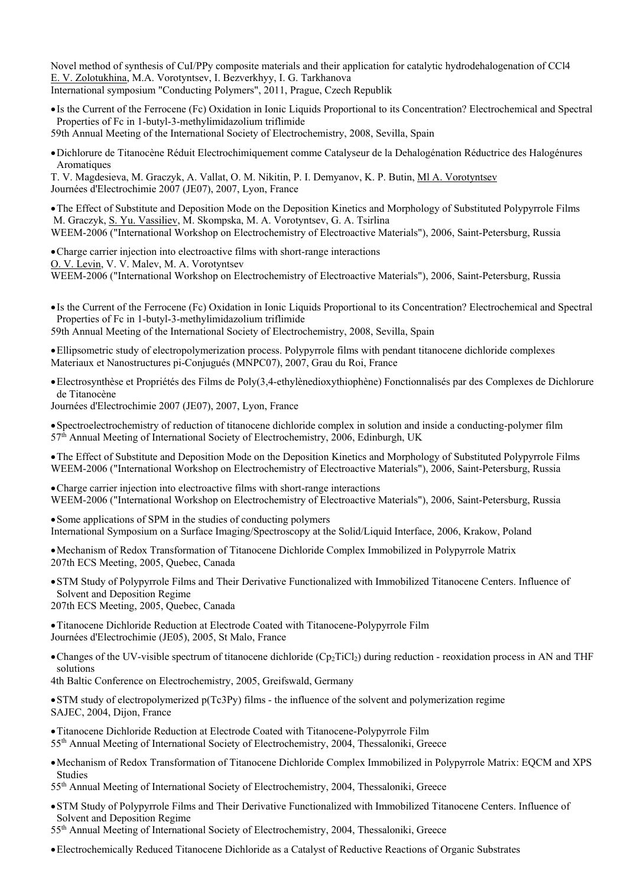Novel method of synthesis of CuI/PPy composite materials and their application for catalytic hydrodehalogenation of CCl4 E. V. Zolotukhina, M.A. Vorotyntsev, I. Bezverkhyy, I. G. Tarkhanova International symposium "Conducting Polymers", 2011, Prague, Czech Republik

Is the Current of the Ferrocene (Fc) Oxidation in Ionic Liquids Proportional to its Concentration? Electrochemical and Spectral Properties of Fc in 1-butyl-3-methylimidazolium triflimide

59th Annual Meeting of the International Society of Electrochemistry, 2008, Sevilla, Spain

Dichlorure de Titanocène Réduit Electrochimiquement comme Catalyseur de la Dehalogénation Réductrice des Halogénures Aromatiques

T. V. Magdesieva, M. Graczyk, A. Vallat, O. M. Nikitin, P. I. Demyanov, K. P. Butin, Ml A. Vorotyntsev Journées d'Electrochimie 2007 (JE07), 2007, Lyon, France

The Effect of Substitute and Deposition Mode on the Deposition Kinetics and Morphology of Substituted Polypyrrole Films M. Graczyk, S. Yu. Vassiliev, M. Skompska, M. A. Vorotyntsev, G. A. Tsirlina WEEM-2006 ("International Workshop on Electrochemistry of Electroactive Materials"), 2006, Saint-Petersburg, Russia

Charge carrier injection into electroactive films with short-range interactions O. V. Levin, V. V. Malev, M. A. Vorotyntsev WEEM-2006 ("International Workshop on Electrochemistry of Electroactive Materials"), 2006, Saint-Petersburg, Russia

Is the Current of the Ferrocene (Fc) Oxidation in Ionic Liquids Proportional to its Concentration? Electrochemical and Spectral Properties of Fc in 1-butyl-3-methylimidazolium triflimide

59th Annual Meeting of the International Society of Electrochemistry, 2008, Sevilla, Spain

Ellipsometric study of electropolymerization process. Polypyrrole films with pendant titanocene dichloride complexes Materiaux et Nanostructures pi-Conjugués (MNPC07), 2007, Grau du Roi, France

Electrosynthèse et Propriétés des Films de Poly(3,4-ethylènedioxythiophène) Fonctionnalisés par des Complexes de Dichlorure de Titanocène

Journées d'Electrochimie 2007 (JE07), 2007, Lyon, France

Spectroelectrochemistry of reduction of titanocene dichloride complex in solution and inside a conducting-polymer film  $57<sup>th</sup>$  Annual Meeting of International Society of Electrochemistry, 2006, Edinburgh, UK

The Effect of Substitute and Deposition Mode on the Deposition Kinetics and Morphology of Substituted Polypyrrole Films WEEM-2006 ("International Workshop on Electrochemistry of Electroactive Materials"), 2006, Saint-Petersburg, Russia

Charge carrier injection into electroactive films with short-range interactions WEEM-2006 ("International Workshop on Electrochemistry of Electroactive Materials"), 2006, Saint-Petersburg, Russia

Some applications of SPM in the studies of conducting polymers International Symposium on a Surface Imaging/Spectroscopy at the Solid/Liquid Interface, 2006, Krakow, Poland

Mechanism of Redox Transformation of Titanocene Dichloride Complex Immobilized in Polypyrrole Matrix 207th ECS Meeting, 2005, Quebec, Canada

STM Study of Polypyrrole Films and Their Derivative Functionalized with Immobilized Titanocene Centers. Influence of Solvent and Deposition Regime

207th ECS Meeting, 2005, Quebec, Canada

Titanocene Dichloride Reduction at Electrode Coated with Titanocene-Polypyrrole Film Journées d'Electrochimie (JE05), 2005, St Malo, France

• Changes of the UV-visible spectrum of titanocene dichloride  $(Cp_2Tic_1)$  during reduction - reoxidation process in AN and THF solutions

4th Baltic Conference on Electrochemistry, 2005, Greifswald, Germany

STM study of electropolymerized p(Tc3Py) films - the influence of the solvent and polymerization regime SAJEC, 2004, Dijon, France

Titanocene Dichloride Reduction at Electrode Coated with Titanocene-Polypyrrole Film

55th Annual Meeting of International Society of Electrochemistry, 2004, Thessaloniki, Greece

Mechanism of Redox Transformation of Titanocene Dichloride Complex Immobilized in Polypyrrole Matrix: EQCM and XPS Studies

55th Annual Meeting of International Society of Electrochemistry, 2004, Thessaloniki, Greece

STM Study of Polypyrrole Films and Their Derivative Functionalized with Immobilized Titanocene Centers. Influence of Solvent and Deposition Regime

55th Annual Meeting of International Society of Electrochemistry, 2004, Thessaloniki, Greece

Electrochemically Reduced Titanocene Dichloride as a Catalyst of Reductive Reactions of Organic Substrates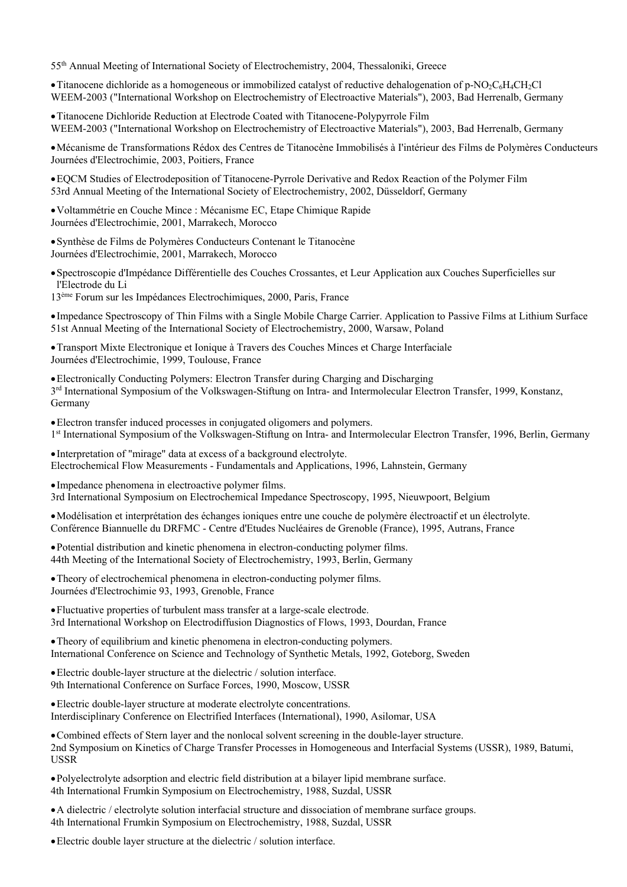55th Annual Meeting of International Society of Electrochemistry, 2004, Thessaloniki, Greece

• Titanocene dichloride as a homogeneous or immobilized catalyst of reductive dehalogenation of p-NO<sub>2</sub>C<sub>6</sub>H<sub>4</sub>CH<sub>2</sub>Cl WEEM-2003 ("International Workshop on Electrochemistry of Electroactive Materials"), 2003, Bad Herrenalb, Germany

Titanocene Dichloride Reduction at Electrode Coated with Titanocene-Polypyrrole Film WEEM-2003 ("International Workshop on Electrochemistry of Electroactive Materials"), 2003, Bad Herrenalb, Germany

Mécanisme de Transformations Rédox des Centres de Titanocène Immobilisés à I'intérieur des Films de Polymères Conducteurs Journées d'Electrochimie, 2003, Poitiers, France

EQCM Studies of Electrodeposition of Titanocene-Pyrrole Derivative and Redox Reaction of the Polymer Film 53rd Annual Meeting of the International Society of Electrochemistry, 2002, Düsseldorf, Germany

Voltammétrie en Couche Mince : Mécanisme EC, Etape Chimique Rapide Journées d'Electrochimie, 2001, Marrakech, Morocco

Synthèse de Films de Polymères Conducteurs Contenant le Titanocène Journées d'Electrochimie, 2001, Marrakech, Morocco

Spectroscopie d'Impédance Différentielle des Couches Crossantes, et Leur Application aux Couches Superficielles sur l'Electrode du Li

13ème Forum sur les Impédances Electrochimiques, 2000, Paris, France

Impedance Spectroscopy of Thin Films with a Single Mobile Charge Carrier. Application to Passive Films at Lithium Surface 51st Annual Meeting of the International Society of Electrochemistry, 2000, Warsaw, Poland

Transport Mixte Electronique et Ionique à Travers des Couches Minces et Charge Interfaciale Journées d'Electrochimie, 1999, Toulouse, France

Electronically Conducting Polymers: Electron Transfer during Charging and Discharging 3rd International Symposium of the Volkswagen-Stiftung on Intra- and Intermolecular Electron Transfer, 1999, Konstanz, Germany

Electron transfer induced processes in conjugated oligomers and polymers. 1st International Symposium of the Volkswagen-Stiftung on Intra- and Intermolecular Electron Transfer, 1996, Berlin, Germany

Interpretation of "mirage" data at excess of a background electrolyte. Electrochemical Flow Measurements - Fundamentals and Applications, 1996, Lahnstein, Germany

• Impedance phenomena in electroactive polymer films. 3rd International Symposium on Electrochemical Impedance Spectroscopy, 1995, Nieuwpoort, Belgium

Modélisation et interprétation des échanges ioniques entre une couche de polymère électroactif et un électrolyte. Conférence Biannuelle du DRFMC - Centre d'Etudes Nucléaires de Grenoble (France), 1995, Autrans, France

Potential distribution and kinetic phenomena in electron-conducting polymer films. 44th Meeting of the International Society of Electrochemistry, 1993, Berlin, Germany

Theory of electrochemical phenomena in electron-conducting polymer films. Journées d'Electrochimie 93, 1993, Grenoble, France

Fluctuative properties of turbulent mass transfer at a large-scale electrode. 3rd International Workshop on Electrodiffusion Diagnostics of Flows, 1993, Dourdan, France

• Theory of equilibrium and kinetic phenomena in electron-conducting polymers. International Conference on Science and Technology of Synthetic Metals, 1992, Goteborg, Sweden

Electric double-layer structure at the dielectric / solution interface. 9th International Conference on Surface Forces, 1990, Moscow, USSR

Electric double-layer structure at moderate electrolyte concentrations. Interdisciplinary Conference on Electrified Interfaces (International), 1990, Asilomar, USA

Combined effects of Stern layer and the nonlocal solvent screening in the double-layer structure. 2nd Symposium on Kinetics of Charge Transfer Processes in Homogeneous and Interfacial Systems (USSR), 1989, Batumi, USSR

Polyelectrolyte adsorption and electric field distribution at a bilayer lipid membrane surface. 4th International Frumkin Symposium on Electrochemistry, 1988, Suzdal, USSR

A dielectric / electrolyte solution interfacial structure and dissociation of membrane surface groups. 4th International Frumkin Symposium on Electrochemistry, 1988, Suzdal, USSR

Electric double layer structure at the dielectric / solution interface.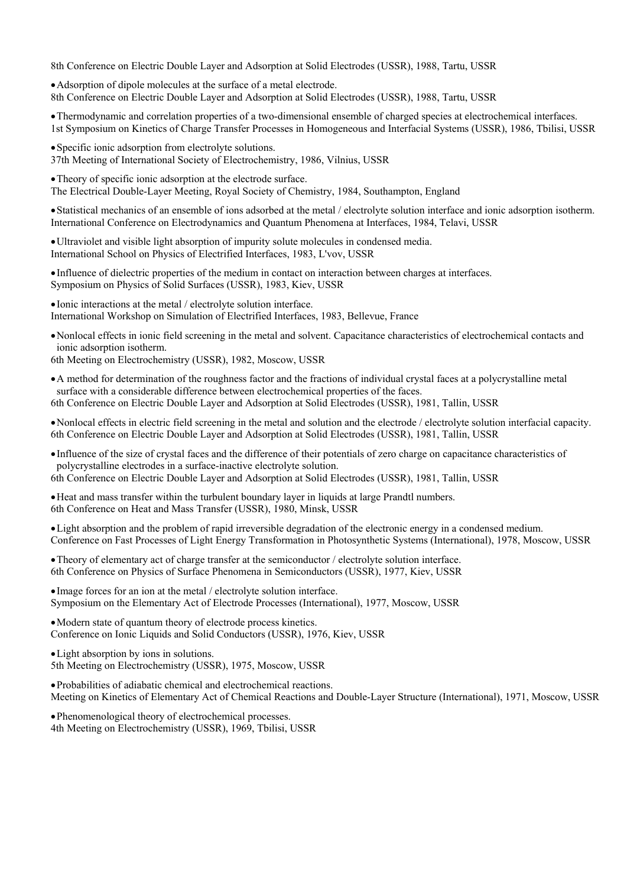8th Conference on Electric Double Layer and Adsorption at Solid Electrodes (USSR), 1988, Tartu, USSR

Adsorption of dipole molecules at the surface of a metal electrode. 8th Conference on Electric Double Layer and Adsorption at Solid Electrodes (USSR), 1988, Tartu, USSR

Thermodynamic and correlation properties of a two-dimensional ensemble of charged species at electrochemical interfaces. 1st Symposium on Kinetics of Charge Transfer Processes in Homogeneous and Interfacial Systems (USSR), 1986, Tbilisi, USSR

• Specific ionic adsorption from electrolyte solutions. 37th Meeting of International Society of Electrochemistry, 1986, Vilnius, USSR

Theory of specific ionic adsorption at the electrode surface. The Electrical Double-Layer Meeting, Royal Society of Chemistry, 1984, Southampton, England

Statistical mechanics of an ensemble of ions adsorbed at the metal / electrolyte solution interface and ionic adsorption isotherm. International Conference on Electrodynamics and Quantum Phenomena at Interfaces, 1984, Telavi, USSR

Ultraviolet and visible light absorption of impurity solute molecules in condensed media. International School on Physics of Electrified Interfaces, 1983, L'vov, USSR

Influence of dielectric properties of the medium in contact on interaction between charges at interfaces. Symposium on Physics of Solid Surfaces (USSR), 1983, Kiev, USSR

Ionic interactions at the metal / electrolyte solution interface. International Workshop on Simulation of Electrified Interfaces, 1983, Bellevue, France

Nonlocal effects in ionic field screening in the metal and solvent. Capacitance characteristics of electrochemical contacts and ionic adsorption isotherm.

6th Meeting on Electrochemistry (USSR), 1982, Moscow, USSR

A method for determination of the roughness factor and the fractions of individual crystal faces at a polycrystalline metal surface with a considerable difference between electrochemical properties of the faces. 6th Conference on Electric Double Layer and Adsorption at Solid Electrodes (USSR), 1981, Tallin, USSR

Nonlocal effects in electric field screening in the metal and solution and the electrode / electrolyte solution interfacial capacity. 6th Conference on Electric Double Layer and Adsorption at Solid Electrodes (USSR), 1981, Tallin, USSR

Influence of the size of crystal faces and the difference of their potentials of zero charge on capacitance characteristics of polycrystalline electrodes in a surface-inactive electrolyte solution. 6th Conference on Electric Double Layer and Adsorption at Solid Electrodes (USSR), 1981, Tallin, USSR

Heat and mass transfer within the turbulent boundary layer in liquids at large Prandtl numbers. 6th Conference on Heat and Mass Transfer (USSR), 1980, Minsk, USSR

Light absorption and the problem of rapid irreversible degradation of the electronic energy in a condensed medium. Conference on Fast Processes of Light Energy Transformation in Photosynthetic Systems (International), 1978, Moscow, USSR

Theory of elementary act of charge transfer at the semiconductor / electrolyte solution interface. 6th Conference on Physics of Surface Phenomena in Semiconductors (USSR), 1977, Kiev, USSR

Image forces for an ion at the metal / electrolyte solution interface. Symposium on the Elementary Act of Electrode Processes (International), 1977, Moscow, USSR

Modern state of quantum theory of electrode process kinetics. Conference on Ionic Liquids and Solid Conductors (USSR), 1976, Kiev, USSR

Light absorption by ions in solutions.

5th Meeting on Electrochemistry (USSR), 1975, Moscow, USSR

Probabilities of adiabatic chemical and electrochemical reactions. Meeting on Kinetics of Elementary Act of Chemical Reactions and Double-Layer Structure (International), 1971, Moscow, USSR

Phenomenological theory of electrochemical processes. 4th Meeting on Electrochemistry (USSR), 1969, Tbilisi, USSR